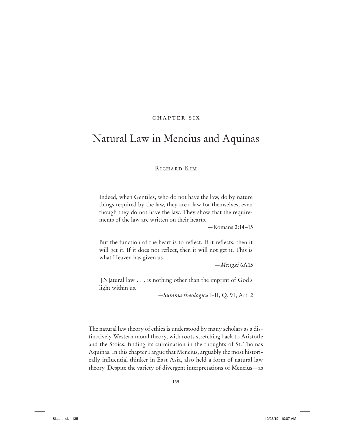# chapter six

# Natural Law in Mencius and Aquinas

# RICHARD KIM

Indeed, when Gentiles, who do not have the law, do by nature things required by the law, they are a law for themselves, even though they do not have the law. They show that the requirements of the law are written on their hearts.

—Romans 2:14–15

But the function of the heart is to reflect. If it reflects, then it will get it. If it does not reflect, then it will not get it. This is what Heaven has given us.

—*Mengzi* 6A15

 [N]atural law . . . is nothing other than the imprint of God's light within us.

—*Summa theologica* I-II, Q. 91, Art. 2

The natural law theory of ethics is understood by many scholars as a distinctively Western moral theory, with roots stretching back to Aristotle and the Stoics, finding its culmination in the thoughts of St. Thomas Aquinas. In this chapter I argue that Mencius, arguably the most historically influential thinker in East Asia, also held a form of natural law theory. Despite the variety of divergent interpretations of Mencius—as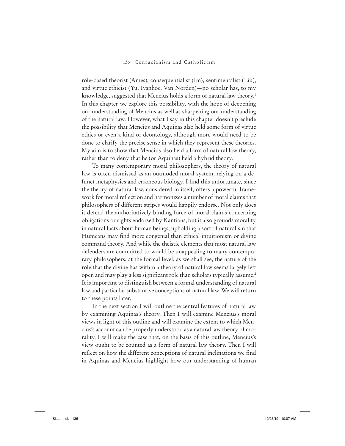role-based theorist (Ames), consequentialist (Im), sentimentalist (Liu), and virtue ethicist (Yu, Ivanhoe, Van Norden)—no scholar has, to my knowledge, suggested that Mencius holds a form of natural law theory.<sup>1</sup> In this chapter we explore this possibility, with the hope of deepening our understanding of Mencius as well as sharpening our understanding of the natural law. However, what I say in this chapter doesn't preclude the possibility that Mencius and Aquinas also held some form of virtue ethics or even a kind of deontology, although more would need to be done to clarify the precise sense in which they represent these theories. My aim is to show that Mencius also held a form of natural law theory, rather than to deny that he (or Aquinas) held a hybrid theory.

To many contemporary moral philosophers, the theory of natural law is often dismissed as an outmoded moral system, relying on a defunct metaphysics and erroneous biology. I find this unfortunate, since the theory of natural law, considered in itself, offers a powerful framework for moral reflection and harmonizes a number of moral claims that philosophers of different stripes would happily endorse. Not only does it defend the authoritatively binding force of moral claims concerning obligations or rights endorsed by Kantians, but it also grounds morality in natural facts about human beings, upholding a sort of naturalism that Humeans may find more congenial than ethical intuitionism or divine command theory. And while the theistic elements that most natural law defenders are committed to would be unappealing to many contemporary philosophers, at the formal level, as we shall see, the nature of the role that the divine has within a theory of natural law seems largely left open and may play a less significant role than scholars typically assume.<sup>2</sup> It is important to distinguish between a formal understanding of natural law and particular substantive conceptions of natural law. We will return to these points later.

In the next section I will outline the central features of natural law by examining Aquinas's theory. Then I will examine Mencius's moral views in light of this outline and will examine the extent to which Mencius's account can be properly understood as a natural law theory of morality. I will make the case that, on the basis of this outline, Mencius's view ought to be counted as a form of natural law theory. Then I will reflect on how the different conceptions of natural inclinations we find in Aquinas and Mencius highlight how our understanding of human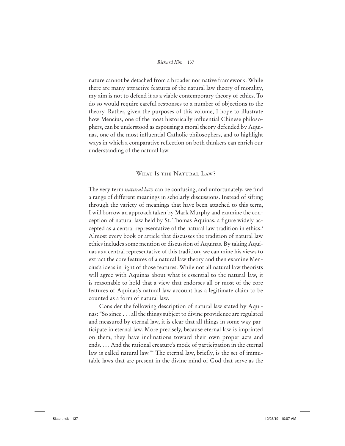nature cannot be detached from a broader normative framework. While there are many attractive features of the natural law theory of morality, my aim is not to defend it as a viable contemporary theory of ethics. To do so would require careful responses to a number of objections to the theory. Rather, given the purposes of this volume, I hope to illustrate how Mencius, one of the most historically influential Chinese philosophers, can be understood as espousing a moral theory defended by Aquinas, one of the most influential Catholic philosophers, and to highlight ways in which a comparative reflection on both thinkers can enrich our understanding of the natural law.

# WHAT IS THE NATURAL LAW?

The very term *natural law* can be confusing, and unfortunately, we find a range of different meanings in scholarly discussions. Instead of sifting through the variety of meanings that have been attached to this term, I will borrow an approach taken by Mark Murphy and examine the conception of natural law held by St. Thomas Aquinas, a figure widely accepted as a central representative of the natural law tradition in ethics.<sup>3</sup> Almost every book or article that discusses the tradition of natural law ethics includes some mention or discussion of Aquinas. By taking Aquinas as a central representative of this tradition, we can mine his views to extract the core features of a natural law theory and then examine Mencius's ideas in light of those features. While not all natural law theorists will agree with Aquinas about what is essential to the natural law, it is reasonable to hold that a view that endorses all or most of the core features of Aquinas's natural law account has a legitimate claim to be counted as a form of natural law.

Consider the following description of natural law stated by Aquinas: "So since . . . all the things subject to divine providence are regulated and measured by eternal law, it is clear that all things in some way participate in eternal law. More precisely, because eternal law is imprinted on them, they have inclinations toward their own proper acts and ends. . . . And the rational creature's mode of participation in the eternal law is called natural law."<sup>4</sup> The eternal law, briefly, is the set of immutable laws that are present in the divine mind of God that serve as the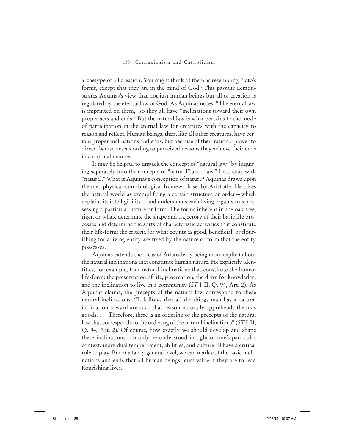archetype of all creation. You might think of them as resembling Plato's forms, except that they are in the mind of God.<sup>5</sup> This passage demonstrates Aquinas's view that not just human beings but all of creation is regulated by the eternal law of God. As Aquinas notes, "The eternal law is imprinted on them," so they all have "inclinations toward their own proper acts and ends." But the natural law is what pertains to the mode of participation in the eternal law for creatures with the capacity to reason and reflect. Human beings, then, like all other creatures, have certain proper inclinations and ends, but because of their rational power to direct themselves according to perceived reasons they achieve their ends in a rational manner.

It may be helpful to unpack the concept of "natural law" by inquiring separately into the concepts of "natural" and "law." Let's start with "natural." What is Aquinas's conception of nature? Aquinas draws upon the metaphysical-cum-biological framework set by Aristotle. He takes the natural world as exemplifying a certain structure or order—which explains its intelligibility—and understands each living organism as possessing a particular nature or form. The forms inherent in the oak tree, tiger, or whale determine the shape and trajectory of their basic life processes and determine the sorts of characteristic activities that constitute their life-form; the criteria for what counts as good, beneficial, or flourishing for a living entity are fixed by the nature or form that the entity possesses.

Aquinas extends the ideas of Aristotle by being more explicit about the natural inclinations that constitute human nature. He explicitly identifies, for example, four natural inclinations that constitute the human life-form: the preservation of life, procreation, the drive for knowledge, and the inclination to live in a community (*ST* I-II, Q. 94, Art. 2). As Aquinas claims, the precepts of the natural law correspond to these natural inclinations: "It follows that all the things man has a natural inclination toward are such that reason naturally apprehends them as goods. . . . Therefore, there is an ordering of the precepts of the natural law that corresponds to the ordering of the natural inclinations" (*ST* I-II, Q. 94, Art. 2). Of course, how exactly we should develop and shape these inclinations can only be understood in light of one's particular context; individual temperament, abilities, and culture all have a critical role to play. But at a fairly general level, we can mark out the basic inclinations and ends that all human beings must value if they are to lead flourishing lives.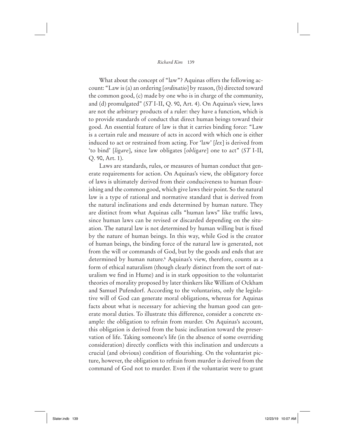What about the concept of "law"? Aquinas offers the following account: "Law is (a) an ordering [*ordinatio*] by reason, (b) directed toward the common good, (c) made by one who is in charge of the community, and (d) promulgated" (*ST* I-II, Q. 90, Art. 4). On Aquinas's view, laws are not the arbitrary products of a ruler: they have a function, which is to provide standards of conduct that direct human beings toward their good. An essential feature of law is that it carries binding force: "Law is a certain rule and measure of acts in accord with which one is either induced to act or restrained from acting. For 'law' [*lex*] is derived from 'to bind' [*ligare*], since law obligates [*obligare*] one to act" (*ST* I-II, Q. 90, Art. 1).

Laws are standards, rules, or measures of human conduct that generate requirements for action. On Aquinas's view, the obligatory force of laws is ultimately derived from their conduciveness to human flourishing and the common good, which give laws their point. So the natural law is a type of rational and normative standard that is derived from the natural inclinations and ends determined by human nature. They are distinct from what Aquinas calls "human laws" like traffic laws, since human laws can be revised or discarded depending on the situation. The natural law is not determined by human willing but is fixed by the nature of human beings. In this way, while God is the creator of human beings, the binding force of the natural law is generated, not from the will or commands of God, but by the goods and ends that are determined by human nature.<sup>6</sup> Aquinas's view, therefore, counts as a form of ethical naturalism (though clearly distinct from the sort of naturalism we find in Hume) and is in stark opposition to the voluntarist theories of morality proposed by later thinkers like William of Ockham and Samuel Pufendorf. According to the voluntarists, only the legislative will of God can generate moral obligations, whereas for Aquinas facts about what is necessary for achieving the human good can generate moral duties. To illustrate this difference, consider a concrete example: the obligation to refrain from murder. On Aquinas's account, this obligation is derived from the basic inclination toward the preservation of life. Taking someone's life (in the absence of some overriding consideration) directly conflicts with this inclination and undercuts a crucial (and obvious) condition of flourishing. On the voluntarist picture, however, the obligation to refrain from murder is derived from the command of God not to murder. Even if the voluntarist were to grant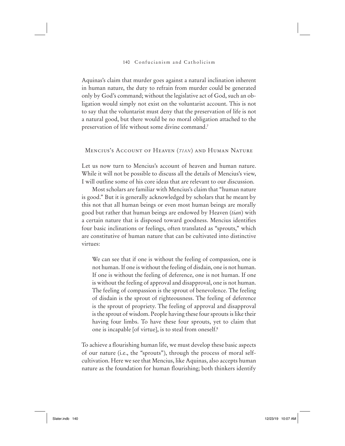Aquinas's claim that murder goes against a natural inclination inherent in human nature, the duty to refrain from murder could be generated only by God's command; without the legislative act of God, such an obligation would simply not exist on the voluntarist account. This is not to say that the voluntarist must deny that the preservation of life is not a natural good, but there would be no moral obligation attached to the preservation of life without some divine command.7

# Mencius's Account of Heaven (*TIAN*) and Human Nature

Let us now turn to Mencius's account of heaven and human nature. While it will not be possible to discuss all the details of Mencius's view, I will outline some of his core ideas that are relevant to our discussion.

Most scholars are familiar with Mencius's claim that "human nature is good." But it is generally acknowledged by scholars that he meant by this not that all human beings or even most human beings are morally good but rather that human beings are endowed by Heaven (*tian*) with a certain nature that is disposed toward goodness. Mencius identifies four basic inclinations or feelings, often translated as "sprouts," which are constitutive of human nature that can be cultivated into distinctive virtues:

We can see that if one is without the feeling of compassion, one is not human. If one is without the feeling of disdain, one is not human. If one is without the feeling of deference, one is not human. If one is without the feeling of approval and disapproval, one is not human. The feeling of compassion is the sprout of benevolence. The feeling of disdain is the sprout of righteousness. The feeling of deference is the sprout of propriety. The feeling of approval and disapproval is the sprout of wisdom. People having these four sprouts is like their having four limbs. To have these four sprouts, yet to claim that one is incapable [of virtue], is to steal from oneself.8

To achieve a flourishing human life, we must develop these basic aspects of our nature (i.e., the "sprouts"), through the process of moral selfcultivation. Here we see that Mencius, like Aquinas, also accepts human nature as the foundation for human flourishing; both thinkers identify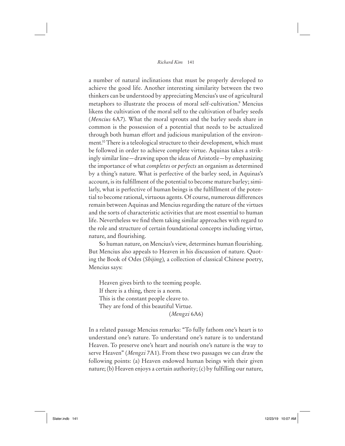a number of natural inclinations that must be properly developed to achieve the good life. Another interesting similarity between the two thinkers can be understood by appreciating Mencius's use of agricultural metaphors to illustrate the process of moral self-cultivation.<sup>9</sup> Mencius likens the cultivation of the moral self to the cultivation of barley seeds (*Mencius* 6A7). What the moral sprouts and the barley seeds share in common is the possession of a potential that needs to be actualized through both human effort and judicious manipulation of the environment.10 There is a teleological structure to their development, which must be followed in order to achieve complete virtue. Aquinas takes a strikingly similar line—drawing upon the ideas of Aristotle—by emphasizing the importance of what *completes* or *perfects* an organism as determined by a thing's nature. What is perfective of the barley seed, in Aquinas's account, is its fulfillment of the potential to become mature barley; similarly, what is perfective of human beings is the fulfillment of the potential to become rational, virtuous agents. Of course, numerous differences remain between Aquinas and Mencius regarding the nature of the virtues and the sorts of characteristic activities that are most essential to human life. Nevertheless we find them taking similar approaches with regard to the role and structure of certain foundational concepts including virtue, nature, and flourishing.

So human nature, on Mencius's view, determines human flourishing. But Mencius also appeals to Heaven in his discussion of nature. Quoting the Book of Odes (*Shijing*)*,* a collection of classical Chinese poetry, Mencius says:

Heaven gives birth to the teeming people.

If there is a thing, there is a norm.

This is the constant people cleave to.

They are fond of this beautiful Virtue.

(*Mengzi* 6A6)

In a related passage Mencius remarks: "To fully fathom one's heart is to understand one's nature. To understand one's nature is to understand Heaven. To preserve one's heart and nourish one's nature is the way to serve Heaven" (*Mengzi* 7A1). From these two passages we can draw the following points: (a) Heaven endowed human beings with their given nature; (b) Heaven enjoys a certain authority; (c) by fulfilling our nature,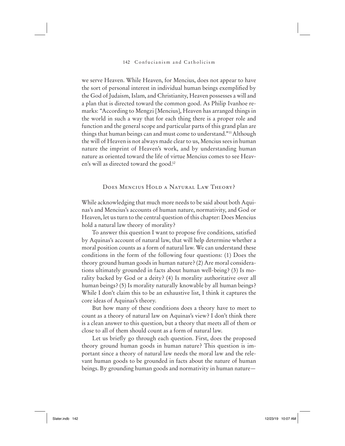we serve Heaven. While Heaven, for Mencius, does not appear to have the sort of personal interest in individual human beings exemplified by the God of Judaism, Islam, and Christianity, Heaven possesses a will and a plan that is directed toward the common good. As Philip Ivanhoe remarks: "According to Mengzi [Mencius], Heaven has arranged things in the world in such a way that for each thing there is a proper role and function and the general scope and particular parts of this grand plan are things that human beings can and must come to understand."11 Although the will of Heaven is not always made clear to us, Mencius sees in human nature the imprint of Heaven's work, and by understanding human nature as oriented toward the life of virtue Mencius comes to see Heaven's will as directed toward the good.<sup>12</sup>

# Does Mencius Hold a Natural Law Theory?

While acknowledging that much more needs to be said about both Aquinas's and Mencius's accounts of human nature, normativity, and God or Heaven, let us turn to the central question of this chapter: Does Mencius hold a natural law theory of morality?

To answer this question I want to propose five conditions, satisfied. by Aquinas's account of natural law, that will help determine whether a moral position counts as a form of natural law. We can understand these conditions in the form of the following four questions: (1) Does the theory ground human goods in human nature? (2) Are moral considerations ultimately grounded in facts about human well-being? (3) Is morality backed by God or a deity? (4) Is morality authoritative over all human beings? (5) Is morality naturally knowable by all human beings? While I don't claim this to be an exhaustive list, I think it captures the core ideas of Aquinas's theory.

But how many of these conditions does a theory have to meet to count as a theory of natural law on Aquinas's view? I don't think there is a clean answer to this question, but a theory that meets all of them or close to all of them should count as a form of natural law.

Let us briefly go through each question. First, does the proposed theory ground human goods in human nature? This question is important since a theory of natural law needs the moral law and the relevant human goods to be grounded in facts about the nature of human beings. By grounding human goods and normativity in human nature—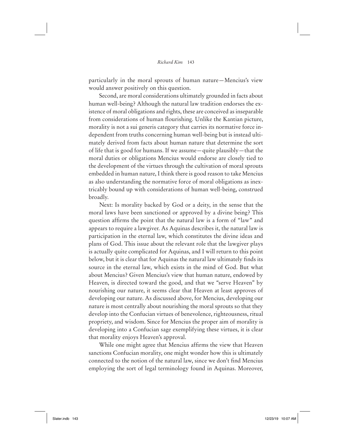particularly in the moral sprouts of human nature—Mencius's view would answer positively on this question.

Second, are moral considerations ultimately grounded in facts about human well-being? Although the natural law tradition endorses the existence of moral obligations and rights, these are conceived as inseparable from considerations of human flourishing. Unlike the Kantian picture, morality is not a sui generis category that carries its normative force independent from truths concerning human well-being but is instead ultimately derived from facts about human nature that determine the sort of life that is good for humans. If we assume—quite plausibly—that the moral duties or obligations Mencius would endorse are closely tied to the development of the virtues through the cultivation of moral sprouts embedded in human nature, I think there is good reason to take Mencius as also understanding the normative force of moral obligations as inextricably bound up with considerations of human well-being, construed broadly.

Next: Is morality backed by God or a deity, in the sense that the moral laws have been sanctioned or approved by a divine being? This question affirms the point that the natural law is a form of "law" and appears to require a lawgiver. As Aquinas describes it, the natural law is participation in the eternal law, which constitutes the divine ideas and plans of God. This issue about the relevant role that the lawgiver plays is actually quite complicated for Aquinas, and I will return to this point below, but it is clear that for Aquinas the natural law ultimately finds its source in the eternal law, which exists in the mind of God. But what about Mencius? Given Mencius's view that human nature, endowed by Heaven, is directed toward the good, and that we "serve Heaven" by nourishing our nature, it seems clear that Heaven at least approves of developing our nature. As discussed above, for Mencius, developing our nature is most centrally about nourishing the moral sprouts so that they develop into the Confucian virtues of benevolence, righteousness, ritual propriety, and wisdom. Since for Mencius the proper aim of morality is developing into a Confucian sage exemplifying these virtues, it is clear that morality enjoys Heaven's approval.

While one might agree that Mencius affirms the view that Heaven sanctions Confucian morality, one might wonder how this is ultimately connected to the notion of the natural law, since we don't find Mencius employing the sort of legal terminology found in Aquinas. Moreover,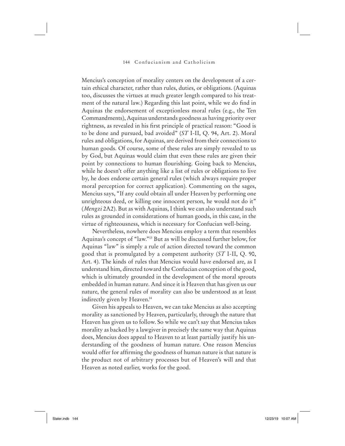Mencius's conception of morality centers on the development of a certain ethical character, rather than rules, duties, or obligations. (Aquinas too, discusses the virtues at much greater length compared to his treatment of the natural law.) Regarding this last point, while we do find in Aquinas the endorsement of exceptionless moral rules (e.g., the Ten Commandments), Aquinas understands goodness as having priority over rightness, as revealed in his first principle of practical reason: "Good is to be done and pursued, bad avoided" (*ST* I-II, Q. 94, Art. 2). Moral rules and obligations, for Aquinas, are derived from their connections to human goods. Of course, some of these rules are simply revealed to us by God, but Aquinas would claim that even these rules are given their point by connections to human flourishing. Going back to Mencius, while he doesn't offer anything like a list of rules or obligations to live by, he does endorse certain general rules (which always require proper moral perception for correct application). Commenting on the sages, Mencius says, "If any could obtain all under Heaven by performing one unrighteous deed, or killing one innocent person, he would not do it" (*Mengzi* 2A2). But as with Aquinas, I think we can also understand such rules as grounded in considerations of human goods, in this case, in the virtue of righteousness, which is necessary for Confucian well-being.

Nevertheless, nowhere does Mencius employ a term that resembles Aquinas's concept of "law."13 But as will be discussed further below, for Aquinas "law" is simply a rule of action directed toward the common good that is promulgated by a competent authority (*ST* I-II, Q. 90, Art. 4). The kinds of rules that Mencius would have endorsed are, as I understand him, directed toward the Confucian conception of the good, which is ultimately grounded in the development of the moral sprouts embedded in human nature. And since it is Heaven that has given us our nature, the general rules of morality can also be understood as at least indirectly given by Heaven.14

Given his appeals to Heaven, we can take Mencius as also accepting morality as sanctioned by Heaven, particularly, through the nature that Heaven has given us to follow. So while we can't say that Mencius takes morality as backed by a lawgiver in precisely the same way that Aquinas does, Mencius does appeal to Heaven to at least partially justify his understanding of the goodness of human nature. One reason Mencius would offer for affirming the goodness of human nature is that nature is the product not of arbitrary processes but of Heaven's will and that Heaven as noted earlier, works for the good.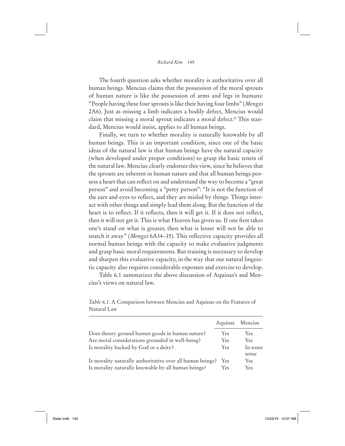The fourth question asks whether morality is authoritative over all human beings. Mencius claims that the possession of the moral sprouts of human nature is like the possession of arms and legs in humans: "People having these four sprouts is like their having four limbs" (*Mengzi*  2A6). Just as missing a limb indicates a bodily defect, Mencius would claim that missing a moral sprout indicates a moral defect.15 This standard, Mencius would insist, applies to all human beings.

Finally, we turn to whether morality is naturally knowable by all human beings. This is an important condition, since one of the basic ideas of the natural law is that human beings have the natural capacity (when developed under proper conditions) to grasp the basic tenets of the natural law. Mencius clearly endorses this view, since he believes that the sprouts are inherent in human nature and that all human beings possess a heart that can reflect on and understand the way to become a "great" person" and avoid becoming a "petty person": "It is not the function of the ears and eyes to reflect, and they are misled by things. Things interact with other things and simply lead them along. But the function of the heart is to reflect. If it reflects, then it will get it. If it does not reflect, then it will not get it. This is what Heaven has given us. If one first takes one's stand on what is greater, then what is lesser will not be able to snatch it away" (*Mengzi* 6A14–15). This reflective capacity provides all normal human beings with the capacity to make evaluative judgments and grasp basic moral requirements. But training is necessary to develop and sharpen this evaluative capacity, in the way that our natural linguistic capacity also requires considerable exposure and exercise to develop.

Table 6.1 summarizes the above discussion of Aquinas's and Mencius's views on natural law.

|                                                            | Aquinas    | Mencius    |
|------------------------------------------------------------|------------|------------|
| Does theory ground human goods in human nature?            | Yes        | Yes.       |
| Are moral considerations grounded in well-being?           | Yes        | Yes.       |
| Is morality backed by God or a deity?                      | <b>Yes</b> | In some    |
|                                                            |            | sense      |
| Is morality naturally authoritative over all human beings? | Yes        | <b>Yes</b> |
| Is morality naturally knowable by all human beings?        | Yes        | Yes.       |

*Table 6.1*. A Comparison between Mencius and Aquinas on the Features of Natural Law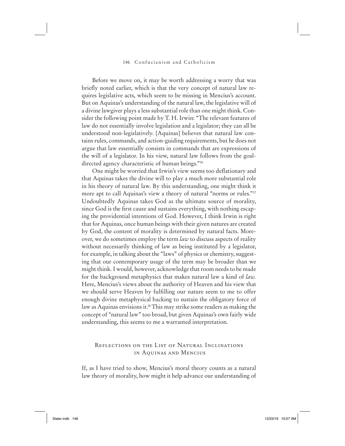Before we move on, it may be worth addressing a worry that was briefly noted earlier, which is that the very concept of natural law requires legislative acts, which seem to be missing in Mencius's account. But on Aquinas's understanding of the natural law, the legislative will of a divine lawgiver plays a less substantial role than one might think. Consider the following point made by T. H. Irwin: "The relevant features of law do not essentially involve legislation and a legislator; they can all be understood non-legislatively. [Aquinas] believes that natural law contains rules, commands, and action-guiding requirements, but he does not argue that law essentially consists in commands that are expressions of the will of a legislator. In his view, natural law follows from the goaldirected agency characteristic of human beings."<sup>16</sup>

One might be worried that Irwin's view seems too deflationary and that Aquinas takes the divine will to play a much more substantial role in his theory of natural law. By this understanding, one might think it more apt to call Aquinas's view a theory of natural "norms or rules."17 Undoubtedly Aquinas takes God as the ultimate source of morality, since God is the first cause and sustains everything, with nothing escaping the providential intentions of God. However, I think Irwin is right that for Aquinas, once human beings with their given natures are created by God, the content of morality is determined by natural facts. Moreover, we do sometimes employ the term *law* to discuss aspects of reality without necessarily thinking of law as being instituted by a legislator, for example, in talking about the "laws" of physics or chemistry, suggesting that our contemporary usage of the term may be broader than we might think. I would, however, acknowledge that room needs to be made for the background metaphysics that makes natural law a kind of *law.*  Here, Mencius's views about the authority of Heaven and his view that we should serve Heaven by fulfilling our nature seem to me to offer enough divine metaphysical backing to sustain the obligatory force of law as Aquinas envisions it.<sup>18</sup> This may strike some readers as making the concept of "natural law" too broad, but given Aquinas's own fairly wide understanding, this seems to me a warranted interpretation.

# Reflections on the List of Natural Inclinations in Aquinas and Mencius

If, as I have tried to show, Mencius's moral theory counts as a natural law theory of morality, how might it help advance our understanding of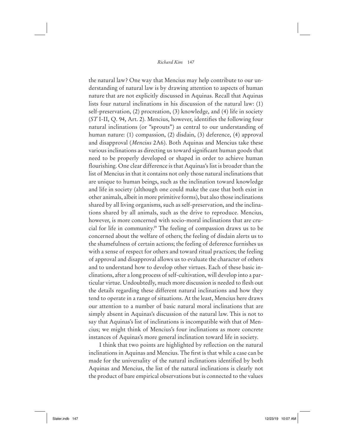the natural law? One way that Mencius may help contribute to our understanding of natural law is by drawing attention to aspects of human nature that are not explicitly discussed in Aquinas. Recall that Aquinas lists four natural inclinations in his discussion of the natural law: (1) self-preservation, (2) procreation, (3) knowledge, and (4) life in society (*ST* I-II, Q. 94, Art. 2). Mencius, however, identifies the following four natural inclinations (or "sprouts") as central to our understanding of human nature: (1) compassion, (2) disdain, (3) deference, (4) approval and disapproval (*Mencius* 2A6). Both Aquinas and Mencius take these various inclinations as directing us toward significant human goods that need to be properly developed or shaped in order to achieve human flourishing. One clear difference is that Aquinas's list is broader than the list of Mencius in that it contains not only those natural inclinations that are unique to human beings, such as the inclination toward knowledge and life in society (although one could make the case that both exist in other animals, albeit in more primitive forms), but also those inclinations shared by all living organisms, such as self-preservation, and the inclinations shared by all animals, such as the drive to reproduce. Mencius, however, is more concerned with socio-moral inclinations that are crucial for life in community.19 The feeling of compassion draws us to be concerned about the welfare of others; the feeling of disdain alerts us to the shamefulness of certain actions; the feeling of deference furnishes us with a sense of respect for others and toward ritual practices; the feeling of approval and disapproval allows us to evaluate the character of others and to understand how to develop other virtues. Each of these basic inclinations, after a long process of self-cultivation, will develop into a particular virtue. Undoubtedly, much more discussion is needed to flesh out the details regarding these different natural inclinations and how they tend to operate in a range of situations. At the least, Mencius here draws our attention to a number of basic natural moral inclinations that are simply absent in Aquinas's discussion of the natural law. This is not to say that Aquinas's list of inclinations is incompatible with that of Mencius; we might think of Mencius's four inclinations as more concrete instances of Aquinas's more general inclination toward life in society.

I think that two points are highlighted by reflection on the natural inclinations in Aquinas and Mencius. The first is that while a case can be made for the universality of the natural inclinations identified by both Aquinas and Mencius, the list of the natural inclinations is clearly not the product of bare empirical observations but is connected to the values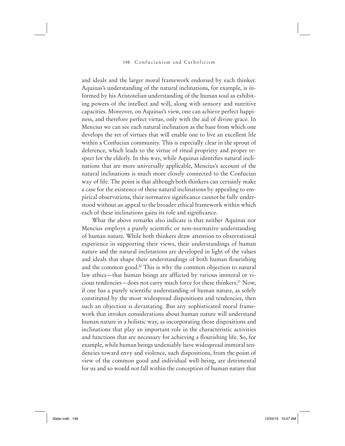and ideals and the larger moral framework endorsed by each thinker. Aquinas's understanding of the natural inclinations, for example, is informed by his Aristotelian understanding of the human soul as exhibiting powers of the intellect and will, along with sensory and nutritive capacities. Moreover, on Aquinas's view, one can achieve perfect happiness, and therefore perfect virtue, only with the aid of divine grace. In Mencius we can see each natural inclination as the base from which one develops the set of virtues that will enable one to live an excellent life within a Confucian community. This is especially clear in the sprout of deference, which leads to the virtue of ritual propriety and proper respect for the elderly. In this way, while Aquinas identifies natural inclinations that are more universally applicable, Mencius's account of the natural inclinations is much more closely connected to the Confucian way of life. The point is that although both thinkers can certainly make a case for the existence of these natural inclinations by appealing to empirical observations, their normative significance cannot be fully understood without an appeal to the broader ethical framework within which each of these inclinations gains its role and significance.

What the above remarks also indicate is that neither Aquinas nor Mencius employs a purely scientific or non-normative understanding of human nature. While both thinkers draw attention to observational experience in supporting their views, their understandings of human nature and the natural inclinations are developed in light of the values and ideals that shape their understandings of both human flourishing and the common good.20 This is why the common objection to natural law ethics—that human beings are afflicted by various immoral or vicious tendencies—does not carry much force for these thinkers.21 Now, if one has a purely scientific understanding of human nature, as solely constituted by the most widespread dispositions and tendencies, then such an objection is devastating. But any sophisticated moral framework that invokes considerations about human nature will understand human nature in a holistic way, as incorporating those dispositions and inclinations that play an important role in the characteristic activities and functions that are necessary for achieving a flourishing life. So, for example, while human beings undeniably have widespread immoral tendencies toward envy and violence, such dispositions, from the point of view of the common good and individual well-being, are detrimental for us and so would not fall within the conception of human nature that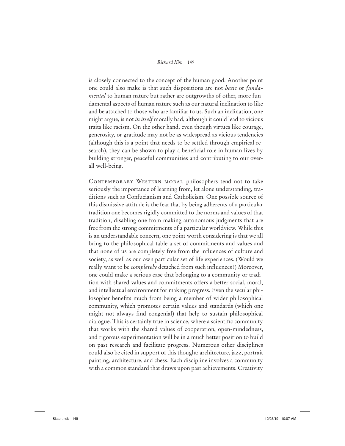is closely connected to the concept of the human good. Another point one could also make is that such dispositions are not *basic* or *fundamental* to human nature but rather are outgrowths of other, more fundamental aspects of human nature such as our natural inclination to like and be attached to those who are familiar to us. Such an inclination, one might argue, is not *in itself* morally bad, although it could lead to vicious traits like racism. On the other hand, even though virtues like courage, generosity, or gratitude may not be as widespread as vicious tendencies (although this is a point that needs to be settled through empirical research), they can be shown to play a beneficial role in human lives by building stronger, peaceful communities and contributing to our overall well-being.

Contemporary Western moral philosophers tend not to take seriously the importance of learning from, let alone understanding, traditions such as Confucianism and Catholicism. One possible source of this dismissive attitude is the fear that by being adherents of a particular tradition one becomes rigidly committed to the norms and values of that tradition, disabling one from making autonomous judgments that are free from the strong commitments of a particular worldview. While this is an understandable concern, one point worth considering is that we all bring to the philosophical table a set of commitments and values and that none of us are completely free from the influences of culture and society, as well as our own particular set of life experiences. (Would we really want to be *completely* detached from such influences?) Moreover, one could make a serious case that belonging to a community or tradition with shared values and commitments offers a better social, moral, and intellectual environment for making progress. Even the secular philosopher benefits much from being a member of wider philosophical community, which promotes certain values and standards (which one might not always find congenial) that help to sustain philosophical dialogue. This is certainly true in science, where a scientific community that works with the shared values of cooperation, open-mindedness, and rigorous experimentation will be in a much better position to build on past research and facilitate progress. Numerous other disciplines could also be cited in support of this thought: architecture, jazz, portrait painting, architecture, and chess. Each discipline involves a community with a common standard that draws upon past achievements. Creativity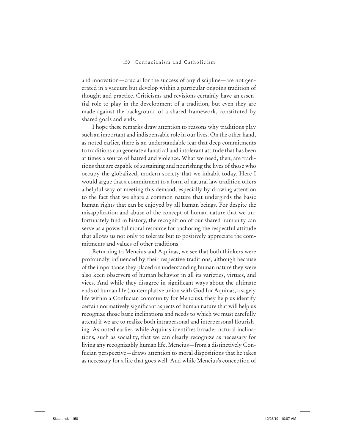and innovation—crucial for the success of any discipline—are not generated in a vacuum but develop within a particular ongoing tradition of thought and practice. Criticisms and revisions certainly have an essential role to play in the development of a tradition, but even they are made against the background of a shared framework, constituted by shared goals and ends.

I hope these remarks draw attention to reasons why traditions play such an important and indispensable role in our lives. On the other hand, as noted earlier, there is an understandable fear that deep commitments to traditions can generate a fanatical and intolerant attitude that has been at times a source of hatred and violence. What we need, then, are traditions that are capable of sustaining and nourishing the lives of those who occupy the globalized, modern society that we inhabit today. Here I would argue that a commitment to a form of natural law tradition offers a helpful way of meeting this demand, especially by drawing attention to the fact that we share a common nature that undergirds the basic human rights that can be enjoyed by all human beings. For despite the misapplication and abuse of the concept of human nature that we unfortunately find in history, the recognition of our shared humanity can serve as a powerful moral resource for anchoring the respectful attitude that allows us not only to tolerate but to positively appreciate the commitments and values of other traditions.

Returning to Mencius and Aquinas, we see that both thinkers were profoundly influenced by their respective traditions, although because of the importance they placed on understanding human nature they were also keen observers of human behavior in all its varieties, virtues, and vices. And while they disagree in significant ways about the ultimate ends of human life (contemplative union with God for Aquinas, a sagely life within a Confucian community for Mencius), they help us identify certain normatively significant aspects of human nature that will help us recognize those basic inclinations and needs to which we must carefully attend if we are to realize both intrapersonal and interpersonal flourishing. As noted earlier, while Aquinas identifies broader natural inclinations, such as sociality, that we can clearly recognize as necessary for living any recognizably human life, Mencius—from a distinctively Confucian perspective—draws attention to moral dispositions that he takes as necessary for a life that goes well. And while Mencius's conception of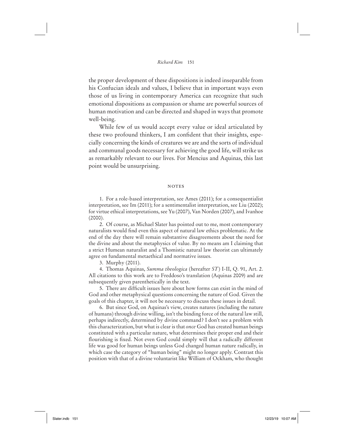the proper development of these dispositions is indeed inseparable from his Confucian ideals and values, I believe that in important ways even those of us living in contemporary America can recognize that such emotional dispositions as compassion or shame are powerful sources of human motivation and can be directed and shaped in ways that promote well-being.

While few of us would accept every value or ideal articulated by these two profound thinkers, I am confident that their insights, especially concerning the kinds of creatures we are and the sorts of individual and communal goods necessary for achieving the good life, will strike us as remarkably relevant to our lives. For Mencius and Aquinas, this last point would be unsurprising.

#### **NOTES**

1. For a role-based interpretation, see Ames (2011); for a consequentialist interpretation, see Im (2011); for a sentimentalist interpretation, see Liu (2002); for virtue ethical interpretations, see Yu (2007), Van Norden (2007), and Ivanhoe  $(2000)$ .

2. Of course, as Michael Slater has pointed out to me, most contemporary naturalists would find even this aspect of natural law ethics problematic. At the end of the day there will remain substantive disagreements about the need for the divine and about the metaphysics of value. By no means am I claiming that a strict Humean naturalist and a Thomistic natural law theorist can ultimately agree on fundamental metaethical and normative issues.

3. Murphy (2011).

4. Thomas Aquinas, *Summa theologica* (hereafter *ST*) I-II, Q. 91, Art. 2. All citations to this work are to Freddoso's translation (Aquinas 2009) and are subsequently given parenthetically in the text.

5. There are difficult issues here about how forms can exist in the mind of God and other metaphysical questions concerning the nature of God. Given the goals of this chapter, it will not be necessary to discuss these issues in detail.

6. But since God, on Aquinas's view, creates natures (including the nature of humans) through divine willing, isn't the binding force of the natural law still, perhaps indirectly, determined by divine command? I don't see a problem with this characterization, but what is clear is that *once* God has created human beings constituted with a particular nature, what determines their proper end and their flourishing is fixed. Not even God could simply will that a radically different life was good for human beings unless God changed human nature radically, in which case the category of "human being" might no longer apply. Contrast this position with that of a divine voluntarist like William of Ockham, who thought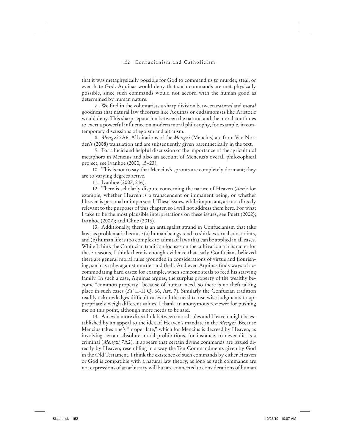that it was metaphysically possible for God to command us to murder, steal, or even hate God. Aquinas would deny that such commands are metaphysically possible, since such commands would not accord with the human good as determined by human nature.

7. We find in the voluntarists a sharp division between *natural* and *moral* goodness that natural law theorists like Aquinas or eudaimonists like Aristotle would deny. This sharp separation between the natural and the moral continues to exert a powerful influence on modern moral philosophy, for example, in contemporary discussions of egoism and altruism.

8. *Mengzi* 2A6. All citations of the *Mengzi* (Mencius) are from Van Norden's (2008) translation and are subsequently given parenthetically in the text.

9. For a lucid and helpful discussion of the importance of the agricultural metaphors in Mencius and also an account of Mencius's overall philosophical project, see Ivanhoe (2000, 15–23).

10. This is not to say that Mencius's sprouts are completely dormant; they are to varying degrees active.

11. Ivanhoe (2007, 216).

12. There is scholarly dispute concerning the nature of Heaven (*tian*): for example, whether Heaven is a transcendent or immanent being, or whether Heaven is personal or impersonal. These issues, while important, are not directly relevant to the purposes of this chapter, so I will not address them here. For what I take to be the most plausible interpretations on these issues, see Puett (2002); Ivanhoe (2007); and Cline (2013).

13. Additionally, there is an antilegalist strand in Confucianism that take laws as problematic because (a) human beings tend to shirk external constraints, and (b) human life is too complex to admit of laws that can be applied in all cases. While I think the Confucian tradition focuses on the cultivation of character for these reasons, I think there is enough evidence that early Confucians believed there are general moral rules grounded in considerations of virtue and flourishing, such as rules against murder and theft. And even Aquinas finds ways of accommodating hard cases: for example, when someone steals to feed his starving family. In such a case, Aquinas argues, the surplus property of the wealthy become "common property" because of human need, so there is no theft taking place in such cases (*ST* II-II Q. 66, Art. 7). Similarly the Confucian tradition readily acknowledges difficult cases and the need to use wise judgments to appropriately weigh different values. I thank an anonymous reviewer for pushing me on this point, although more needs to be said.

14. An even more direct link between moral rules and Heaven might be established by an appeal to the idea of Heaven's mandate in the *Mengzi.* Because Mencius takes one's "proper fate," which for Mencius is decreed by Heaven, as involving certain absolute moral prohibitions, for instance, to never die as a criminal (*Mengzi* 7A2), it appears that certain divine commands are issued directly by Heaven, resembling in a way the Ten Commandments given by God in the Old Testament. I think the existence of such commands by either Heaven or God is compatible with a natural law theory, as long as such commands are not expressions of an arbitrary will but are connected to considerations of human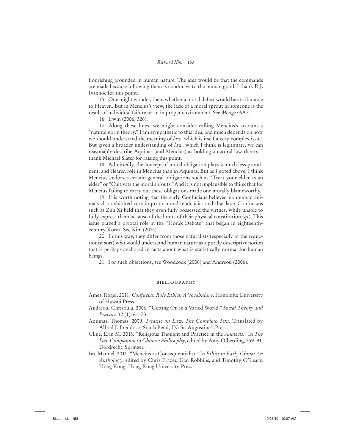flourishing grounded in human nature. The idea would be that the commands are made because following them is conducive to the human good. I thank P. J. Ivanhoe for this point.

15. One might wonder, then, whether a moral defect would be attributable to Heaven. But in Mencius's view, the lack of a moral sprout in someone is the result of individual failure or an improper environment. See *Mengzi* 6A7.

16. Irwin (2006, 326).

17. Along these lines, we might consider calling Mencius's account a "natural norm theory." I am sympathetic to this idea, and much depends on how we should understand the meaning of *law*, which is itself a very complex issue. But given a broader understanding of *law*, which I think is legitimate, we can reasonably describe Aquinas (and Mencius) as holding a natural law theory. I thank Michael Slater for raising this point.

18. Admittedly, the concept of moral obligation plays a much less prominent, and clearer, role in Mencius than in Aquinas. But as I noted above, I think Mencius endorses certain general obligations such as "Treat your elder as an elder" or "Cultivate the moral sprouts." And it is not implausible to think that for Mencius failing to carry out these obligations made one morally blameworthy.

19. It is worth noting that the early Confucians believed nonhuman animals also exhibited certain proto-moral tendencies and that later Confucians such as Zhu Xi held that they even fully possessed the virtues, while unable to fully express them because of the limits of their physical constitution (*qi*). This issue played a pivotal role in the "Horak Debate" that began in eighteenthcentury Korea. See Kim (2015).

20. In this way, they differ from those naturalists (especially of the reductionist sort) who would understand human nature as a purely descriptive notion that is perhaps anchored in facts about what is statistically normal for human beings.

21. For such objections, see Woodcock (2006) and Andreou (2006).

## bibliography

- Ames, Roger. 2011. *Confucian Role Ethics: A Vocabulary*. Honolulu: University of Hawaii Press.
- Andreou, Chrisoula. 2006. "Getting On in a Varied World." *Social Theory and Practice* 32 (1): 61–73.
- Aquinas, Thomas. 2009. *Treatise on Law: The Complete Text*. Translated by Alfred J. Freddoso. South Bend, IN: St. Augustine's Press.
- Cline, Erin M. 2013. "Religious Thought and Practice in the *Analects*." In *The Dao Companion to Chinese Philosophy*, edited by Amy Olberding, 259–91. Dordrecht: Springer.
- Im, Manuel. 2011. "Mencius as Consequentialist." In *Ethics in Early China: An Anthology*, edited by Chris Frazer, Dan Robbins, and Timothy O'Leary. Hong Kong: Hong Kong University Press.